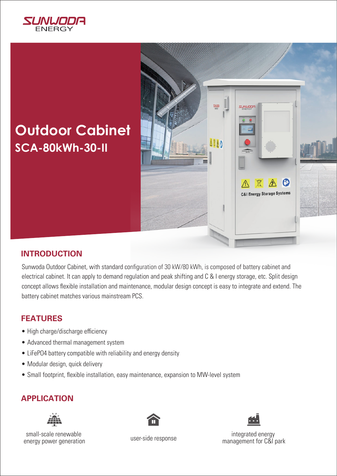

# **SCA-80kWh-30-II Outdoor Cabinet**



## **INTRODUCTION**

Sunwoda Outdoor Cabinet, with standard configuration of 30 kW/80 kWh, is composed of battery cabinet and electrical cabinet. It can apply to demand regulation and peak shifting and C & I energy storage, etc. Split design concept allows flexible installation and maintenance, modular design concept is easy to integrate and extend. The battery cabinet matches various mainstream PCS.

#### **FEATURES**

- High charge/discharge efficiency
- Advanced thermal management system
- LiFePO4 battery compatible with reliability and energy density
- Modular design, quick delivery
- Small footprint, flexible installation, easy maintenance, expansion to MW-level system

## **APPLICATION**



small-scale renewable energy power generation





integrated energy user-side response<br>
management for C&I park